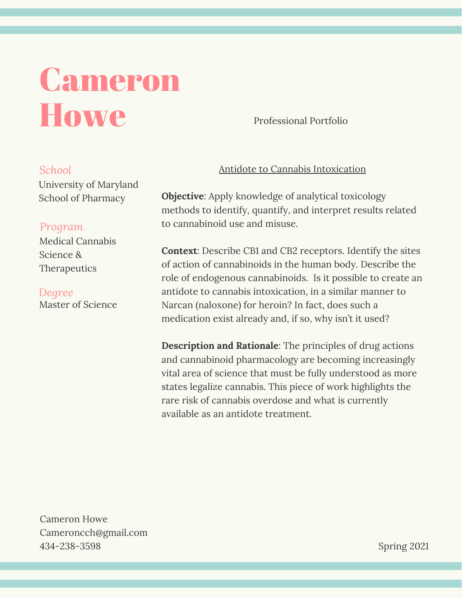## Cameron **Howe**

Professional Portfolio

## *School*

University of Maryland School of Pharmacy

## *Program*

Medical Cannabis Science & **Therapeutics** 

Master of Science *Degree*

## Antidote to Cannabis Intoxication

**Objective**: Apply knowledge of analytical toxicology methods to identify, quantify, and interpret results related to cannabinoid use and misuse.

**Context**: Describe CB1 and CB2 receptors. Identify the sites of action of cannabinoids in the human body. Describe the role of endogenous cannabinoids. Is it possible to create an antidote to cannabis intoxication, in a similar manner to Narcan (naloxone) for heroin? In fact, does such a medication exist already and, if so, why isn't it used?

**Description and Rationale**: The principles of drug actions and cannabinoid pharmacology are becoming increasingly vital area of science that must be fully understood as more states legalize cannabis. This piece of work highlights the rare risk of cannabis overdose and what is currently available as an antidote treatment.

Cameron Howe Cameroncch@gmail.com 434-238-3598

Spring 2021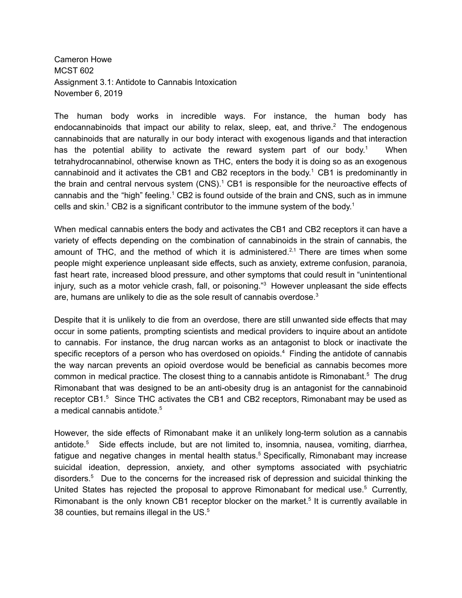Cameron Howe MCST 602 Assignment 3.1: Antidote to Cannabis Intoxication November 6, 2019

The human body works in incredible ways. For instance, the human body has endocannabinoids that impact our ability to relax, sleep, eat, and thrive.<sup>2</sup> The endogenous cannabinoids that are naturally in our body interact with exogenous ligands and that interaction has the potential ability to activate the reward system part of our body.<sup>1</sup> When tetrahydrocannabinol, otherwise known as THC, enters the body it is doing so as an exogenous cannabinoid and it activates the CB1 and CB2 receptors in the body. <sup>1</sup> CB1 is predominantly in the brain and central nervous system (CNS).<sup>1</sup> CB1 is responsible for the neuroactive effects of cannabis and the "high" feeling.<sup>1</sup> CB2 is found outside of the brain and CNS, such as in immune cells and skin.<sup>1</sup> CB2 is a significant contributor to the immune system of the body.<sup>1</sup>

When medical cannabis enters the body and activates the CB1 and CB2 receptors it can have a variety of effects depending on the combination of cannabinoids in the strain of cannabis, the amount of THC, and the method of which it is administered.<sup>2,1</sup> There are times when some people might experience unpleasant side effects, such as anxiety, extreme confusion, paranoia, fast heart rate, increased blood pressure, and other symptoms that could result in "unintentional injury, such as a motor vehicle crash, fall, or poisoning." <sup>3</sup> However unpleasant the side effects are, humans are unlikely to die as the sole result of cannabis overdose.<sup>3</sup>

Despite that it is unlikely to die from an overdose, there are still unwanted side effects that may occur in some patients, prompting scientists and medical providers to inquire about an antidote to cannabis. For instance, the drug narcan works as an antagonist to block or inactivate the specific receptors of a person who has overdosed on opioids.<sup>4</sup> Finding the antidote of cannabis the way narcan prevents an opioid overdose would be beneficial as cannabis becomes more common in medical practice. The closest thing to a cannabis antidote is Rimonabant.<sup>5</sup> The drug Rimonabant that was designed to be an anti-obesity drug is an antagonist for the cannabinoid receptor CB1.<sup>5</sup> Since THC activates the CB1 and CB2 receptors, Rimonabant may be used as a medical cannabis antidote. 5

However, the side effects of Rimonabant make it an unlikely long-term solution as a cannabis antidote. <sup>5</sup> Side effects include, but are not limited to, insomnia, nausea, vomiting, diarrhea, fatigue and negative changes in mental health status. <sup>5</sup> Specifically, Rimonabant may increase suicidal ideation, depression, anxiety, and other symptoms associated with psychiatric disorders. <sup>5</sup> Due to the concerns for the increased risk of depression and suicidal thinking the United States has rejected the proposal to approve Rimonabant for medical use.<sup>5</sup> Currently, Rimonabant is the only known CB1 receptor blocker on the market.<sup>5</sup> It is currently available in 38 counties, but remains illegal in the US. $5$